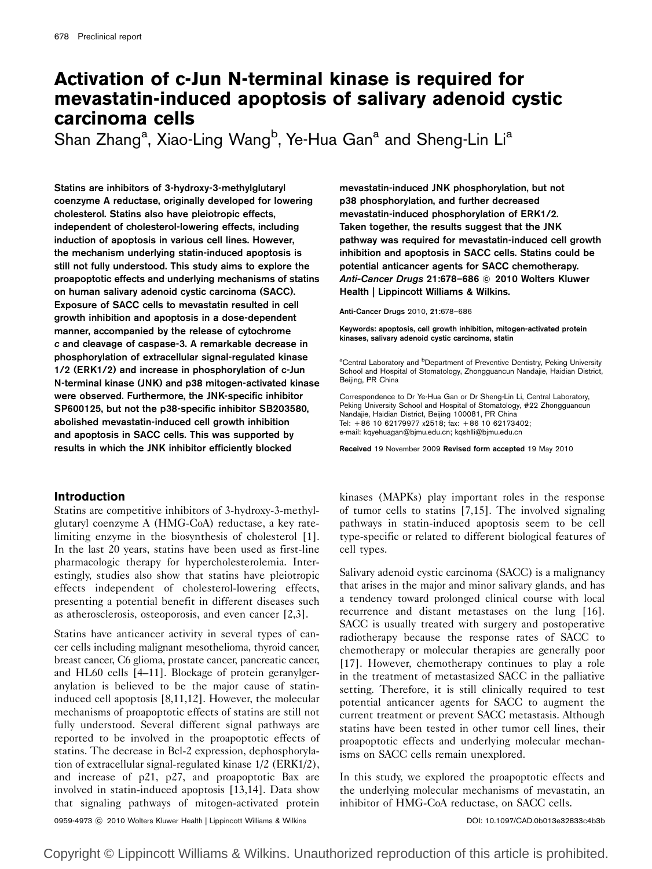# Activation of c-Jun N-terminal kinase is required for mevastatin-induced apoptosis of salivary adenoid cystic carcinoma cells

Shan Zhang<sup>a</sup>, Xiao-Ling Wang<sup>b</sup>, Ye-Hua Gan<sup>a</sup> and Sheng-Lin Li<sup>a</sup>

Statins are inhibitors of 3-hydroxy-3-methylglutaryl coenzyme A reductase, originally developed for lowering cholesterol. Statins also have pleiotropic effects, independent of cholesterol-lowering effects, including induction of apoptosis in various cell lines. However, the mechanism underlying statin-induced apoptosis is still not fully understood. This study aims to explore the proapoptotic effects and underlying mechanisms of statins on human salivary adenoid cystic carcinoma (SACC). Exposure of SACC cells to mevastatin resulted in cell growth inhibition and apoptosis in a dose-dependent manner, accompanied by the release of cytochrome c and cleavage of caspase-3. A remarkable decrease in phosphorylation of extracellular signal-regulated kinase 1/2 (ERK1/2) and increase in phosphorylation of c-Jun N-terminal kinase (JNK) and p38 mitogen-activated kinase were observed. Furthermore, the JNK-specific inhibitor SP600125, but not the p38-specific inhibitor SB203580, abolished mevastatin-induced cell growth inhibition and apoptosis in SACC cells. This was supported by results in which the JNK inhibitor efficiently blocked

## **Introduction**

Statins are competitive inhibitors of 3-hydroxy-3-methylglutaryl coenzyme A (HMG-CoA) reductase, a key ratelimiting enzyme in the biosynthesis of cholesterol [1]. In the last 20 years, statins have been used as first-line pharmacologic therapy for hypercholesterolemia. Interestingly, studies also show that statins have pleiotropic effects independent of cholesterol-lowering effects, presenting a potential benefit in different diseases such as atherosclerosis, osteoporosis, and even cancer [2,3].

Statins have anticancer activity in several types of cancer cells including malignant mesothelioma, thyroid cancer, breast cancer, C6 glioma, prostate cancer, pancreatic cancer, and HL60 cells [4–11]. Blockage of protein geranylgeranylation is believed to be the major cause of statininduced cell apoptosis [8,11,12]. However, the molecular mechanisms of proapoptotic effects of statins are still not fully understood. Several different signal pathways are reported to be involved in the proapoptotic effects of statins. The decrease in Bcl-2 expression, dephosphorylation of extracellular signal-regulated kinase 1/2 (ERK1/2), and increase of p21, p27, and proapoptotic Bax are involved in statin-induced apoptosis [13,14]. Data show that signaling pathways of mitogen-activated protein mevastatin-induced JNK phosphorylation, but not p38 phosphorylation, and further decreased mevastatin-induced phosphorylation of ERK1/2. Taken together, the results suggest that the JNK pathway was required for mevastatin-induced cell growth inhibition and apoptosis in SACC cells. Statins could be potential anticancer agents for SACC chemotherapy. Anti-Cancer Drugs 21:678–686 © 2010 Wolters Kluwer Health | Lippincott Williams & Wilkins.

Anti-Cancer Drugs 2010, 21:678–686

Keywords: apoptosis, cell growth inhibition, mitogen-activated protein kinases, salivary adenoid cystic carcinoma, statin

<sup>a</sup>Central Laboratory and <sup>b</sup>Department of Preventive Dentistry, Peking University School and Hospital of Stomatology, Zhongguancun Nandajie, Haidian District, Beijing, PR China

Correspondence to Dr Ye-Hua Gan or Dr Sheng-Lin Li, Central Laboratory, Peking University School and Hospital of Stomatology, #22 Zhongguancun Nandajie, Haidian District, Beijing 100081, PR China Tel: + 86 10 62179977 x2518; fax: + 86 10 62173402; e-mail: kqyehuagan@bjmu.edu.cn; kqshlli@bjmu.edu.cn

Received 19 November 2009 Revised form accepted 19 May 2010

kinases (MAPKs) play important roles in the response of tumor cells to statins [7,15]. The involved signaling pathways in statin-induced apoptosis seem to be cell type-specific or related to different biological features of cell types.

Salivary adenoid cystic carcinoma (SACC) is a malignancy that arises in the major and minor salivary glands, and has a tendency toward prolonged clinical course with local recurrence and distant metastases on the lung [16]. SACC is usually treated with surgery and postoperative radiotherapy because the response rates of SACC to chemotherapy or molecular therapies are generally poor [17]. However, chemotherapy continues to play a role in the treatment of metastasized SACC in the palliative setting. Therefore, it is still clinically required to test potential anticancer agents for SACC to augment the current treatment or prevent SACC metastasis. Although statins have been tested in other tumor cell lines, their proapoptotic effects and underlying molecular mechanisms on SACC cells remain unexplored.

In this study, we explored the proapoptotic effects and the underlying molecular mechanisms of mevastatin, an inhibitor of HMG-CoA reductase, on SACC cells.

0959-4973 ⓒ 2010 Wolters Kluwer Health | Lippincott Williams & Wilkins DOI: 10.1097/CAD.0b013e32833c4b3b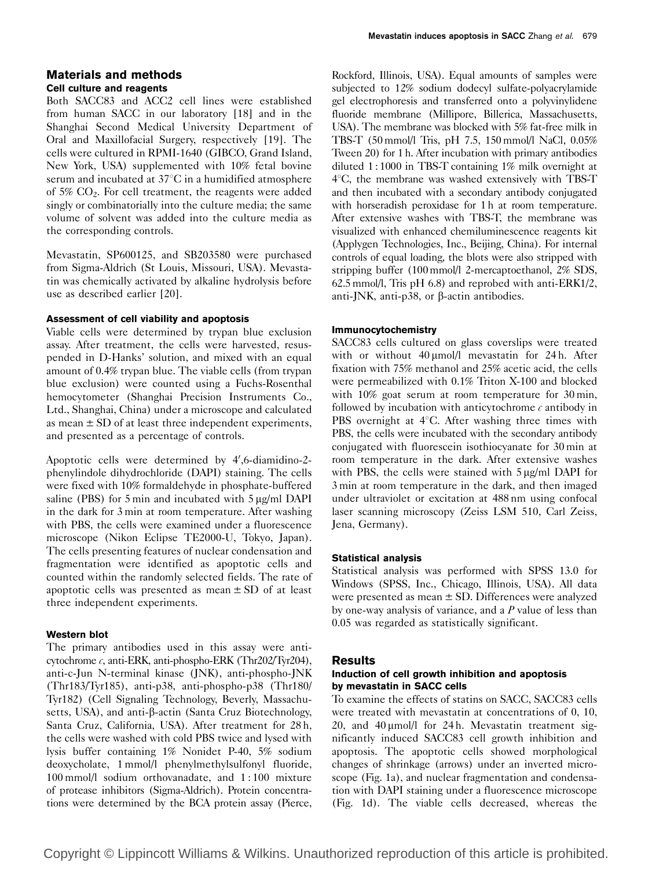## Materials and methods Cell culture and reagents

Both SACC83 and ACC2 cell lines were established from human SACC in our laboratory [18] and in the Shanghai Second Medical University Department of Oral and Maxillofacial Surgery, respectively [19]. The cells were cultured in RPMI-1640 (GIBCO, Grand Island, New York, USA) supplemented with 10% fetal bovine serum and incubated at  $37^{\circ}$ C in a humidified atmosphere of 5% CO2. For cell treatment, the reagents were added singly or combinatorially into the culture media; the same volume of solvent was added into the culture media as the corresponding controls.

Mevastatin, SP600125, and SB203580 were purchased from Sigma-Aldrich (St Louis, Missouri, USA). Mevastatin was chemically activated by alkaline hydrolysis before use as described earlier [20].

#### Assessment of cell viability and apoptosis

Viable cells were determined by trypan blue exclusion assay. After treatment, the cells were harvested, resuspended in D-Hanks' solution, and mixed with an equal amount of 0.4% trypan blue. The viable cells (from trypan blue exclusion) were counted using a Fuchs-Rosenthal hemocytometer (Shanghai Precision Instruments Co., Ltd., Shanghai, China) under a microscope and calculated as mean  $\pm$  SD of at least three independent experiments, and presented as a percentage of controls.

Apoptotic cells were determined by 4',6-diamidino-2phenylindole dihydrochloride (DAPI) staining. The cells were fixed with 10% formaldehyde in phosphate-buffered saline (PBS) for 5 min and incubated with  $5 \mu g/ml$  DAPI in the dark for 3 min at room temperature. After washing with PBS, the cells were examined under a fluorescence microscope (Nikon Eclipse TE2000-U, Tokyo, Japan). The cells presenting features of nuclear condensation and fragmentation were identified as apoptotic cells and counted within the randomly selected fields. The rate of apoptotic cells was presented as mean  $\pm$  SD of at least three independent experiments.

## Western blot

The primary antibodies used in this assay were anticytochrome c, anti-ERK, anti-phospho-ERK (Thr202/Tyr204), anti-c-Jun N-terminal kinase (JNK), anti-phospho-JNK (Thr183/Tyr185), anti-p38, anti-phospho-p38 (Thr180/ Tyr182) (Cell Signaling Technology, Beverly, Massachusetts, USA), and anti- $\beta$ -actin (Santa Cruz Biotechnology, Santa Cruz, California, USA). After treatment for 28 h, the cells were washed with cold PBS twice and lysed with lysis buffer containing 1% Nonidet P-40, 5% sodium deoxycholate, 1 mmol/l phenylmethylsulfonyl fluoride, 100 mmol/l sodium orthovanadate, and 1 : 100 mixture of protease inhibitors (Sigma-Aldrich). Protein concentrations were determined by the BCA protein assay (Pierce,

Rockford, Illinois, USA). Equal amounts of samples were subjected to 12% sodium dodecyl sulfate-polyacrylamide gel electrophoresis and transferred onto a polyvinylidene fluoride membrane (Millipore, Billerica, Massachusetts, USA). The membrane was blocked with 5% fat-free milk in TBS-T (50 mmol/l Tris, pH 7.5, 150 mmol/l NaCl, 0.05% Tween 20) for 1 h. After incubation with primary antibodies diluted 1 : 1000 in TBS-T containing 1% milk overnight at  $4^{\circ}$ C, the membrane was washed extensively with TBS-T and then incubated with a secondary antibody conjugated with horseradish peroxidase for 1 h at room temperature. After extensive washes with TBS-T, the membrane was visualized with enhanced chemiluminescence reagents kit (Applygen Technologies, Inc., Beijing, China). For internal controls of equal loading, the blots were also stripped with stripping buffer (100 mmol/l 2-mercaptoethanol, 2% SDS, 62.5 mmol/l, Tris pH 6.8) and reprobed with anti-ERK1/2, anti-JNK, anti-p38, or  $\beta$ -actin antibodies.

## Immunocytochemistry

SACC83 cells cultured on glass coverslips were treated with or without  $40 \mu$ mol/l mevastatin for 24 h. After fixation with 75% methanol and 25% acetic acid, the cells were permeabilized with 0.1% Triton X-100 and blocked with 10% goat serum at room temperature for 30 min, followed by incubation with anticytochrome  $\epsilon$  antibody in PBS overnight at  $4^{\circ}$ C. After washing three times with PBS, the cells were incubated with the secondary antibody conjugated with fluorescein isothiocyanate for 30 min at room temperature in the dark. After extensive washes with PBS, the cells were stained with  $5 \mu g/ml$  DAPI for 3 min at room temperature in the dark, and then imaged under ultraviolet or excitation at 488 nm using confocal laser scanning microscopy (Zeiss LSM 510, Carl Zeiss, Jena, Germany).

## Statistical analysis

Statistical analysis was performed with SPSS 13.0 for Windows (SPSS, Inc., Chicago, Illinois, USA). All data were presented as mean ± SD. Differences were analyzed by one-way analysis of variance, and a  $P$  value of less than 0.05 was regarded as statistically significant.

## Results

## Induction of cell growth inhibition and apoptosis by mevastatin in SACC cells

To examine the effects of statins on SACC, SACC83 cells were treated with mevastatin at concentrations of 0, 10, 20, and  $40 \mu m$ ol/l for  $24 h$ . Mevastatin treatment significantly induced SACC83 cell growth inhibition and apoptosis. The apoptotic cells showed morphological changes of shrinkage (arrows) under an inverted microscope (Fig. 1a), and nuclear fragmentation and condensation with DAPI staining under a fluorescence microscope (Fig. 1d). The viable cells decreased, whereas the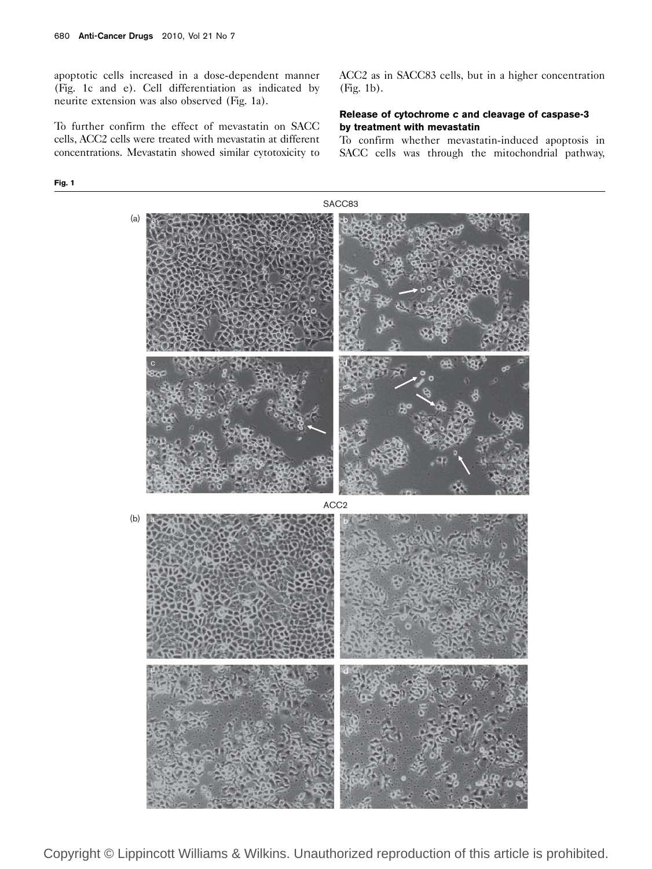apoptotic cells increased in a dose-dependent manner (Fig. 1c and e). Cell differentiation as indicated by neurite extension was also observed (Fig. 1a).

To further confirm the effect of mevastatin on SACC cells, ACC2 cells were treated with mevastatin at different concentrations. Mevastatin showed similar cytotoxicity to

Fig. 1

ACC2 as in SACC83 cells, but in a higher concentration (Fig. 1b).

#### Release of cytochrome c and cleavage of caspase-3 by treatment with mevastatin

To confirm whether mevastatin-induced apoptosis in SACC cells was through the mitochondrial pathway,

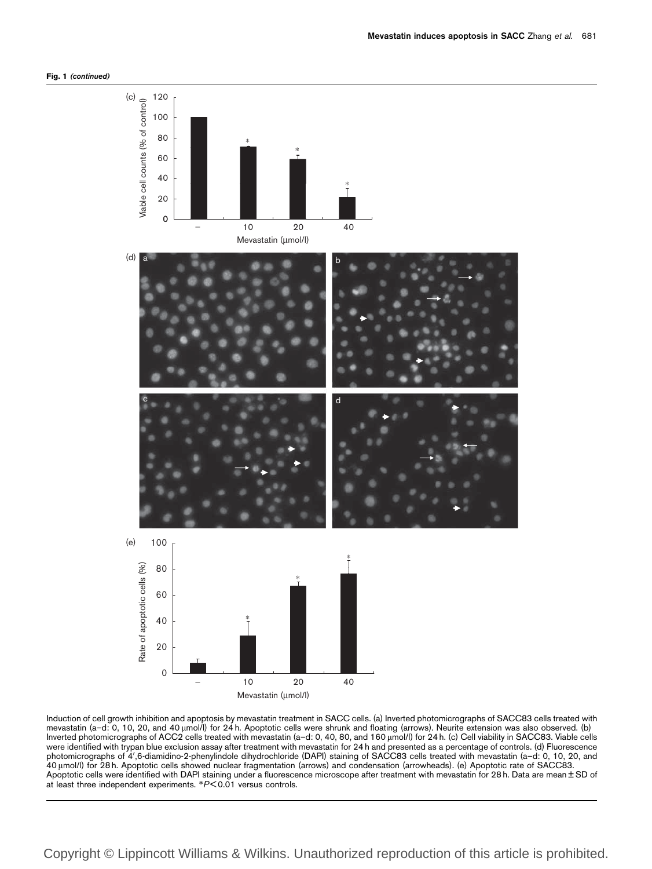



Induction of cell growth inhibition and apoptosis by mevastatin treatment in SACC cells. (a) Inverted photomicrographs of SACC83 cells treated with mevastatin (a–d: 0, 10, 20, and 40 μmol/l) for 24 h. Apoptotic cells were shrunk and floating (arrows). Neurite extension was also observed. (b) Inverted photomicrographs of ACC2 cells treated with mevastatin (a–d: 0, 40, 80, and 160 µmol/l) for 24 h. (c) Cell viability in SACC83. Viable cells were identified with trypan blue exclusion assay after treatment with mevastatin for 24 h and presented as a percentage of controls. (d) Fluorescence photomicrographs of 4',6-diamidino-2-phenylindole dihydrochloride (DAPI) staining of SACC83 cells treated with mevastatin (a–d: 0, 10, 20, and 40 mmol/l) for 28 h. Apoptotic cells showed nuclear fragmentation (arrows) and condensation (arrowheads). (e) Apoptotic rate of SACC83. Apoptotic cells were identified with DAPI staining under a fluorescence microscope after treatment with mevastatin for 28 h. Data are mean ± SD of at least three independent experiments. \*P< 0.01 versus controls.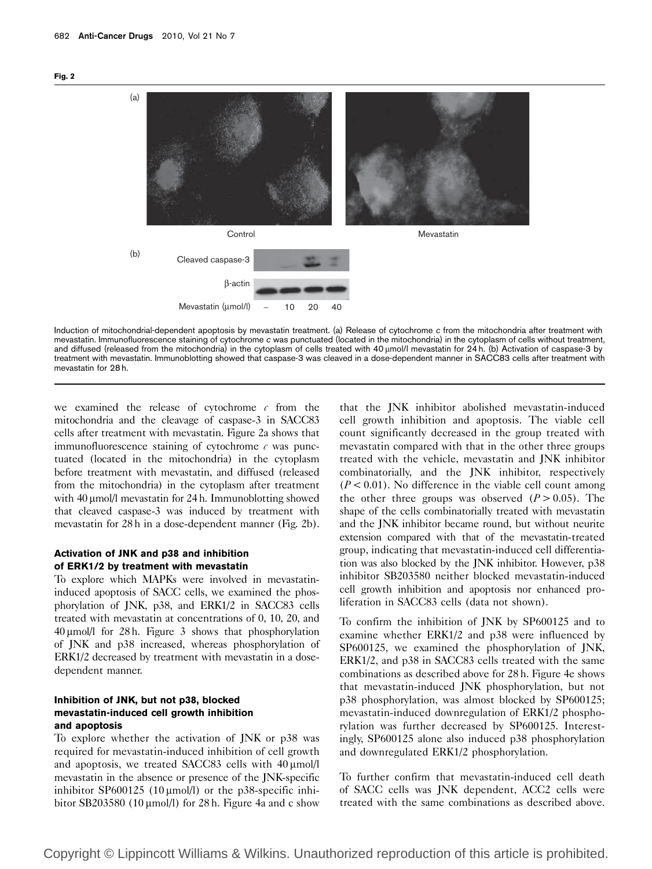



Induction of mitochondrial-dependent apoptosis by mevastatin treatment. (a) Release of cytochrome c from the mitochondria after treatment with mevastatin. Immunofluorescence staining of cytochrome c was punctuated (located in the mitochondria) in the cytoplasm of cells without treatment, and diffused (released from the mitochondria) in the cytoplasm of cells treated with 40  $\mu$ mol/l mevastatin for 24 h. (b) Activation of caspase-3 by treatment with mevastatin. Immunoblotting showed that caspase-3 was cleaved in a dose-dependent manner in SACC83 cells after treatment with mevastatin for 28 h.

we examined the release of cytochrome  $c$  from the mitochondria and the cleavage of caspase-3 in SACC83 cells after treatment with mevastatin. Figure 2a shows that immunofluorescence staining of cytochrome  $c$  was punctuated (located in the mitochondria) in the cytoplasm before treatment with mevastatin, and diffused (released from the mitochondria) in the cytoplasm after treatment with 40 µmol/l mevastatin for 24 h. Immunoblotting showed that cleaved caspase-3 was induced by treatment with mevastatin for 28 h in a dose-dependent manner (Fig. 2b).

#### Activation of JNK and p38 and inhibition of ERK1/2 by treatment with mevastatin

To explore which MAPKs were involved in mevastatininduced apoptosis of SACC cells, we examined the phosphorylation of JNK, p38, and ERK1/2 in SACC83 cells treated with mevastatin at concentrations of 0, 10, 20, and  $40 \mu$ mol/l for 28 h. Figure 3 shows that phosphorylation of JNK and p38 increased, whereas phosphorylation of ERK1/2 decreased by treatment with mevastatin in a dosedependent manner.

#### Inhibition of JNK, but not p38, blocked mevastatin-induced cell growth inhibition and apoptosis

To explore whether the activation of JNK or p38 was required for mevastatin-induced inhibition of cell growth and apoptosis, we treated SACC83 cells with  $40 \mu m o l/l$ mevastatin in the absence or presence of the JNK-specific inhibitor SP600125 (10  $\mu$ mol/l) or the p38-specific inhibitor SB203580 (10  $\mu$ mol/l) for 28 h. Figure 4a and c show that the JNK inhibitor abolished mevastatin-induced cell growth inhibition and apoptosis. The viable cell count significantly decreased in the group treated with mevastatin compared with that in the other three groups treated with the vehicle, mevastatin and JNK inhibitor combinatorially, and the JNK inhibitor, respectively  $(P < 0.01)$ . No difference in the viable cell count among the other three groups was observed  $(P > 0.05)$ . The shape of the cells combinatorially treated with mevastatin and the JNK inhibitor became round, but without neurite extension compared with that of the mevastatin-treated group, indicating that mevastatin-induced cell differentiation was also blocked by the JNK inhibitor. However, p38 inhibitor SB203580 neither blocked mevastatin-induced cell growth inhibition and apoptosis nor enhanced proliferation in SACC83 cells (data not shown).

To confirm the inhibition of JNK by SP600125 and to examine whether ERK1/2 and p38 were influenced by SP600125, we examined the phosphorylation of JNK, ERK1/2, and p38 in SACC83 cells treated with the same combinations as described above for 28 h. Figure 4e shows that mevastatin-induced JNK phosphorylation, but not p38 phosphorylation, was almost blocked by SP600125; mevastatin-induced downregulation of ERK1/2 phosphorylation was further decreased by SP600125. Interestingly, SP600125 alone also induced p38 phosphorylation and downregulated ERK1/2 phosphorylation.

To further confirm that mevastatin-induced cell death of SACC cells was JNK dependent, ACC2 cells were treated with the same combinations as described above.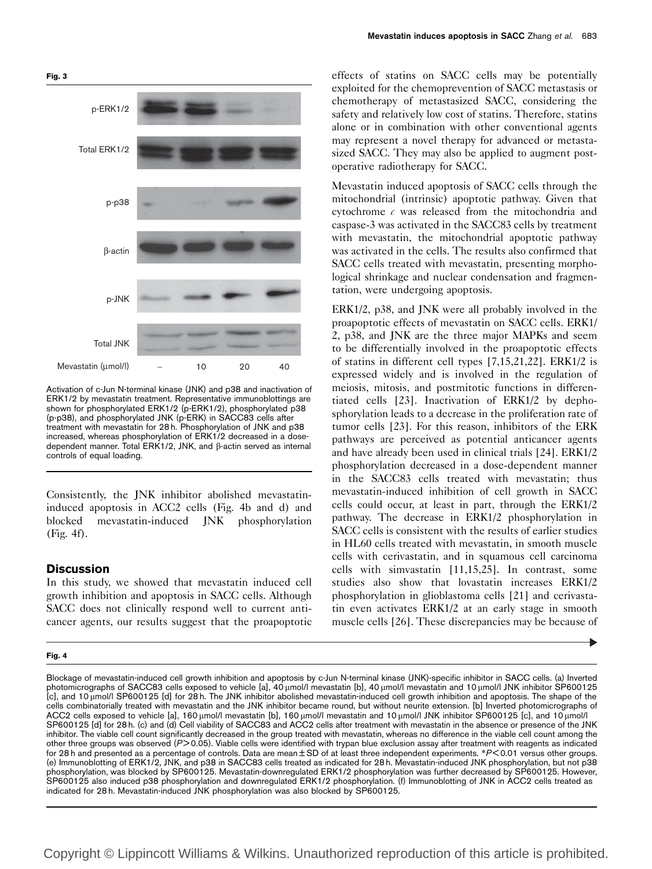

Activation of c-Jun N-terminal kinase (JNK) and p38 and inactivation of ERK1/2 by mevastatin treatment. Representative immunoblottings are shown for phosphorylated ERK1/2 (p-ERK1/2), phosphorylated p38 (p-p38), and phosphorylated JNK (p-ERK) in SACC83 cells after treatment with mevastatin for 28 h. Phosphorylation of JNK and p38 increased, whereas phosphorylation of ERK1/2 decreased in a dosedependent manner. Total ERK1/2, JNK, and β-actin served as internal controls of equal loading.

Consistently, the JNK inhibitor abolished mevastatininduced apoptosis in ACC2 cells (Fig. 4b and d) and blocked mevastatin-induced JNK phosphorylation (Fig. 4f).

### **Discussion**

In this study, we showed that mevastatin induced cell growth inhibition and apoptosis in SACC cells. Although SACC does not clinically respond well to current anticancer agents, our results suggest that the proapoptotic

#### Fig. 4

effects of statins on SACC cells may be potentially exploited for the chemoprevention of SACC metastasis or chemotherapy of metastasized SACC, considering the safety and relatively low cost of statins. Therefore, statins alone or in combination with other conventional agents may represent a novel therapy for advanced or metastasized SACC. They may also be applied to augment postoperative radiotherapy for SACC.

Mevastatin induced apoptosis of SACC cells through the mitochondrial (intrinsic) apoptotic pathway. Given that cytochrome  $c$  was released from the mitochondria and caspase-3 was activated in the SACC83 cells by treatment with mevastatin, the mitochondrial apoptotic pathway was activated in the cells. The results also confirmed that SACC cells treated with mevastatin, presenting morphological shrinkage and nuclear condensation and fragmentation, were undergoing apoptosis.

ERK1/2, p38, and JNK were all probably involved in the proapoptotic effects of mevastatin on SACC cells. ERK1/ 2, p38, and JNK are the three major MAPKs and seem to be differentially involved in the proapoptotic effects of statins in different cell types [7,15,21,22]. ERK1/2 is expressed widely and is involved in the regulation of meiosis, mitosis, and postmitotic functions in differentiated cells [23]. Inactivation of ERK1/2 by dephosphorylation leads to a decrease in the proliferation rate of tumor cells [23]. For this reason, inhibitors of the ERK pathways are perceived as potential anticancer agents and have already been used in clinical trials [24]. ERK1/2 phosphorylation decreased in a dose-dependent manner in the SACC83 cells treated with mevastatin; thus mevastatin-induced inhibition of cell growth in SACC cells could occur, at least in part, through the ERK1/2 pathway. The decrease in ERK1/2 phosphorylation in SACC cells is consistent with the results of earlier studies in HL60 cells treated with mevastatin, in smooth muscle cells with cerivastatin, and in squamous cell carcinoma cells with simvastatin [11,15,25]. In contrast, some studies also show that lovastatin increases ERK1/2 phosphorylation in glioblastoma cells [21] and cerivastatin even activates ERK1/2 at an early stage in smooth muscle cells [26]. These discrepancies may be because of

Blockage of mevastatin-induced cell growth inhibition and apoptosis by c-Jun N-terminal kinase (JNK)-specific inhibitor in SACC cells. (a) Inverted photomicrographs of SACC83 cells exposed to vehicle [a], 40 µmol/l mevastatin [b], 40 µmol/l mevastatin and 10 µmol/l JNK inhibitor SP600125 [c], and 10 umol/l SP600125 [d] for 28 h. The JNK inhibitor abolished mevastatin-induced cell growth inhibition and apoptosis. The shape of the cells combinatorially treated with mevastatin and the JNK inhibitor became round, but without neurite extension. [b] Inverted photomicrographs of ACC2 cells exposed to vehicle [a], 160 umol/l mevastatin [b], 160 umol/l mevastatin and 10 umol/l JNK inhibitor SP600125 [c], and 10 umol/l SP600125 [d] for 28 h. (c) and (d) Cell viability of SACC83 and ACC2 cells after treatment with mevastatin in the absence or presence of the JNK inhibitor. The viable cell count significantly decreased in the group treated with mevastatin, whereas no difference in the viable cell count among the other three groups was observed (P> 0.05). Viable cells were identified with trypan blue exclusion assay after treatment with reagents as indicated for 28 h and presented as a percentage of controls. Data are mean  $\pm$  SD of at least three independent experiments. \*P<0.01 versus other groups. (e) Immunoblotting of ERK1/2, JNK, and p38 in SACC83 cells treated as indicated for 28 h. Mevastatin-induced JNK phosphorylation, but not p38 phosphorylation, was blocked by SP600125. Mevastatin-downregulated ERK1/2 phosphorylation was further decreased by SP600125. However, SP600125 also induced p38 phosphorylation and downregulated ERK1/2 phosphorylation. (f) Immunoblotting of JNK in ACC2 cells treated as indicated for 28 h. Mevastatin-induced JNK phosphorylation was also blocked by SP600125.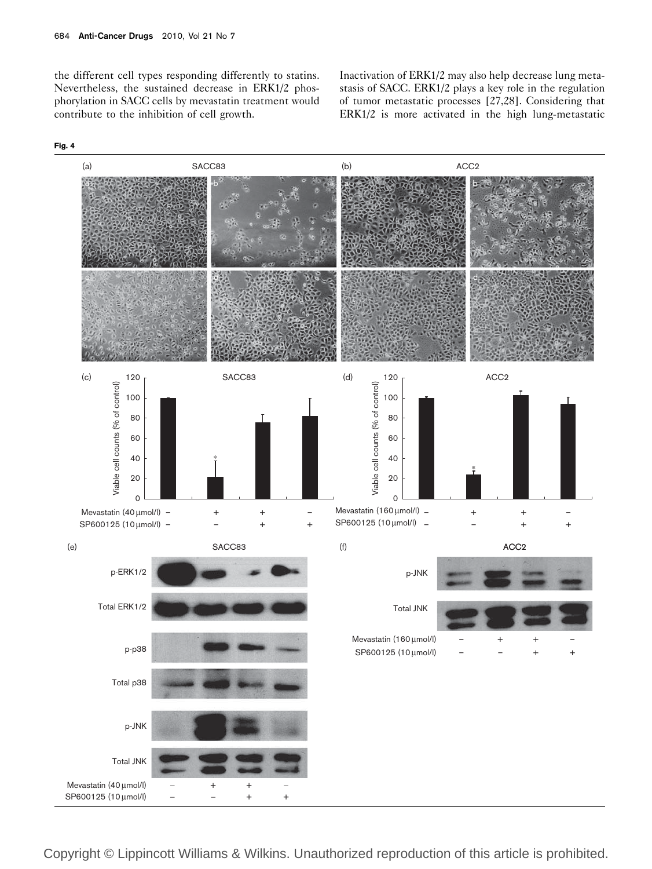the different cell types responding differently to statins. Nevertheless, the sustained decrease in ERK1/2 phosphorylation in SACC cells by mevastatin treatment would contribute to the inhibition of cell growth.

Inactivation of ERK1/2 may also help decrease lung metastasis of SACC. ERK1/2 plays a key role in the regulation of tumor metastatic processes [27,28]. Considering that ERK1/2 is more activated in the high lung-metastatic



Fig. 4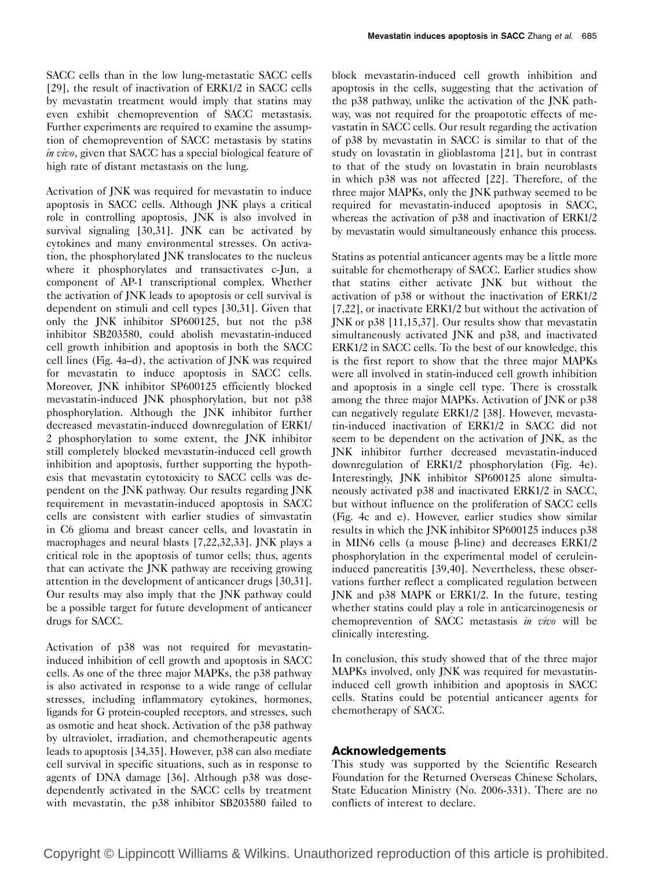SACC cells than in the low lung-metastatic SACC cells [29], the result of inactivation of ERK1/2 in SACC cells by mevastatin treatment would imply that statins may even exhibit chemoprevention of SACC metastasis. Further experiments are required to examine the assumption of chemoprevention of SACC metastasis by statins in vivo, given that SACC has a special biological feature of high rate of distant metastasis on the lung.

Activation of JNK was required for mevastatin to induce apoptosis in SACC cells. Although JNK plays a critical role in controlling apoptosis, JNK is also involved in survival signaling [30,31]. JNK can be activated by cytokines and many environmental stresses. On activation, the phosphorylated JNK translocates to the nucleus where it phosphorylates and transactivates c-Jun, a component of AP-1 transcriptional complex. Whether the activation of JNK leads to apoptosis or cell survival is dependent on stimuli and cell types [30,31]. Given that only the JNK inhibitor SP600125, but not the p38 inhibitor SB203580, could abolish mevastatin-induced cell growth inhibition and apoptosis in both the SACC cell lines (Fig. 4a–d), the activation of JNK was required for mevastatin to induce apoptosis in SACC cells. Moreover, JNK inhibitor SP600125 efficiently blocked mevastatin-induced JNK phosphorylation, but not p38 phosphorylation. Although the JNK inhibitor further decreased mevastatin-induced downregulation of ERK1/ 2 phosphorylation to some extent, the JNK inhibitor still completely blocked mevastatin-induced cell growth inhibition and apoptosis, further supporting the hypothesis that mevastatin cytotoxicity to SACC cells was dependent on the JNK pathway. Our results regarding JNK requirement in mevastatin-induced apoptosis in SACC cells are consistent with earlier studies of simvastatin in C6 glioma and breast cancer cells, and lovastatin in macrophages and neural blasts [7,22,32,33]. JNK plays a critical role in the apoptosis of tumor cells; thus, agents that can activate the JNK pathway are receiving growing attention in the development of anticancer drugs [30,31]. Our results may also imply that the JNK pathway could be a possible target for future development of anticancer drugs for SACC.

Activation of p38 was not required for mevastatininduced inhibition of cell growth and apoptosis in SACC cells. As one of the three major MAPKs, the p38 pathway is also activated in response to a wide range of cellular stresses, including inflammatory cytokines, hormones, ligands for G protein-coupled receptors, and stresses, such as osmotic and heat shock. Activation of the p38 pathway by ultraviolet, irradiation, and chemotherapeutic agents leads to apoptosis [34,35]. However, p38 can also mediate cell survival in specific situations, such as in response to agents of DNA damage [36]. Although p38 was dosedependently activated in the SACC cells by treatment with mevastatin, the p38 inhibitor SB203580 failed to block mevastatin-induced cell growth inhibition and apoptosis in the cells, suggesting that the activation of the p38 pathway, unlike the activation of the JNK pathway, was not required for the proapototic effects of mevastatin in SACC cells. Our result regarding the activation of p38 by mevastatin in SACC is similar to that of the study on lovastatin in glioblastoma [21], but in contrast to that of the study on lovastatin in brain neuroblasts in which p38 was not affected [22]. Therefore, of the three major MAPKs, only the JNK pathway seemed to be required for mevastatin-induced apoptosis in SACC, whereas the activation of p38 and inactivation of ERK1/2 by mevastatin would simultaneously enhance this process.

Statins as potential anticancer agents may be a little more suitable for chemotherapy of SACC. Earlier studies show that statins either activate JNK but without the activation of p38 or without the inactivation of ERK1/2 [7,22], or inactivate ERK1/2 but without the activation of JNK or p38 [11,15,37]. Our results show that mevastatin simultaneously activated JNK and p38, and inactivated ERK1/2 in SACC cells. To the best of our knowledge, this is the first report to show that the three major MAPKs were all involved in statin-induced cell growth inhibition and apoptosis in a single cell type. There is crosstalk among the three major MAPKs. Activation of JNK or p38 can negatively regulate ERK1/2 [38]. However, mevastatin-induced inactivation of ERK1/2 in SACC did not seem to be dependent on the activation of JNK, as the JNK inhibitor further decreased mevastatin-induced downregulation of ERK1/2 phosphorylation (Fig. 4e). Interestingly, JNK inhibitor SP600125 alone simultaneously activated p38 and inactivated ERK1/2 in SACC, but without influence on the proliferation of SACC cells (Fig. 4c and e). However, earlier studies show similar results in which the JNK inhibitor SP600125 induces p38 in MIN6 cells (a mouse  $\beta$ -line) and decreases ERK1/2 phosphorylation in the experimental model of ceruleininduced pancreatitis [39,40]. Nevertheless, these observations further reflect a complicated regulation between JNK and p38 MAPK or ERK1/2. In the future, testing whether statins could play a role in anticarcinogenesis or chemoprevention of SACC metastasis in vivo will be clinically interesting.

In conclusion, this study showed that of the three major MAPKs involved, only JNK was required for mevastatininduced cell growth inhibition and apoptosis in SACC cells. Statins could be potential anticancer agents for chemotherapy of SACC.

## Acknowledgements

This study was supported by the Scientific Research Foundation for the Returned Overseas Chinese Scholars, State Education Ministry (No. 2006-331). There are no conflicts of interest to declare.